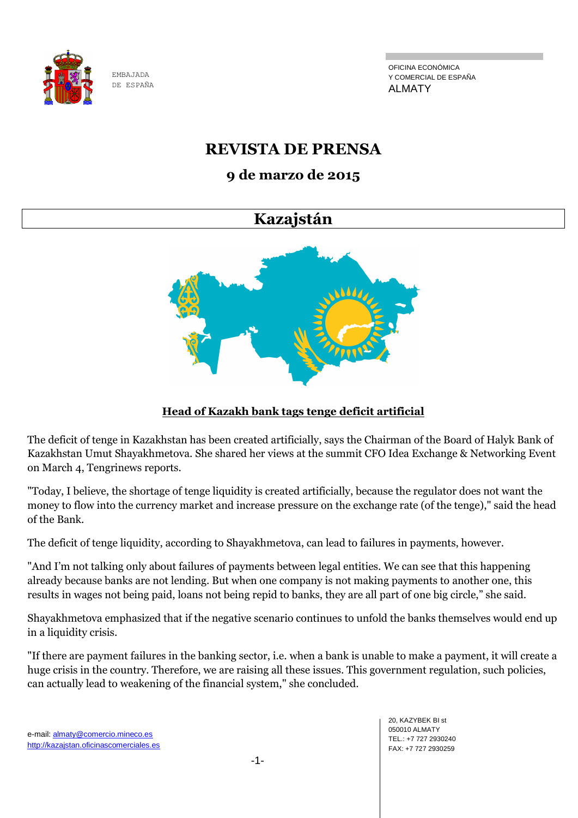

OFICINA ECONÓMICA Y COMERCIAL DE ESPAÑA ALMATY

# **REVISTA DE PRENSA**

# **9 de marzo de 2015**

# **Kazajstán**



# **Head of Kazakh bank tags tenge deficit artificial**

The deficit of tenge in Kazakhstan has been created artificially, says the Chairman of the Board of Halyk Bank of Kazakhstan Umut Shayakhmetova. She shared her views at the summit CFO Idea Exchange & Networking Event on March 4, Tengrinews reports.

"Today, I believe, the shortage of tenge liquidity is created artificially, because the regulator does not want the money to flow into the currency market and increase pressure on the exchange rate (of the tenge)," said the head of the Bank.

The deficit of tenge liquidity, according to Shayakhmetova, can lead to failures in payments, however.

"And I'm not talking only about failures of payments between legal entities. We can see that this happening already because banks are not lending. But when one company is not making payments to another one, this results in wages not being paid, loans not being repid to banks, they are all part of one big circle," she said.

Shayakhmetova emphasized that if the negative scenario continues to unfold the banks themselves would end up in a liquidity crisis.

"If there are payment failures in the banking sector, i.e. when a bank is unable to make a payment, it will create a huge crisis in the country. Therefore, we are raising all these issues. This government regulation, such policies, can actually lead to weakening of the financial system," she concluded.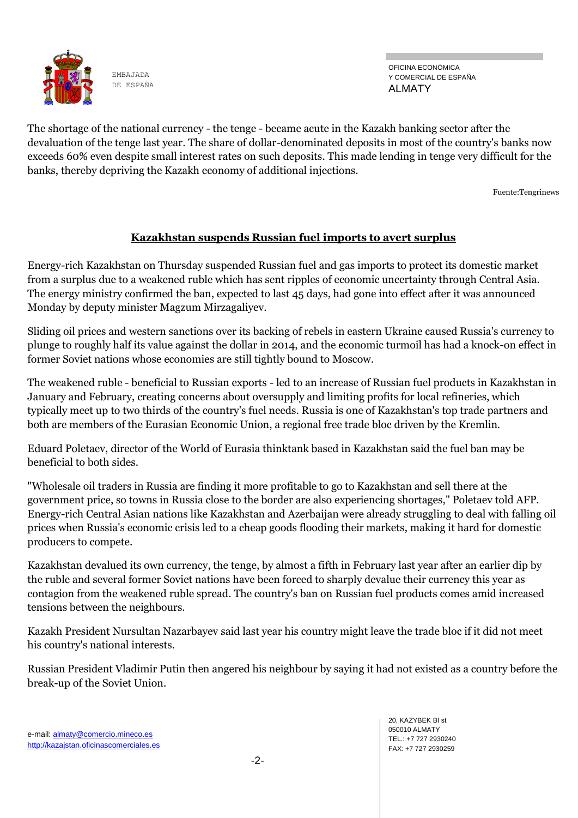

OFICINA ECONÓMICA Y COMERCIAL DE ESPAÑA ALMATY

The shortage of the national currency - the tenge - became acute in the Kazakh banking sector after the devaluation of the tenge last year. The share of dollar-denominated deposits in most of the country's banks now exceeds 60% even despite small interest rates on such deposits. This made lending in tenge very difficult for the banks, thereby depriving the Kazakh economy of additional injections.

Fuente:Tengrinews

#### **Kazakhstan suspends Russian fuel imports to avert surplus**

Energy-rich Kazakhstan on Thursday suspended Russian fuel and gas imports to protect its domestic market from a surplus due to a weakened ruble which has sent ripples of economic uncertainty through Central Asia. The energy ministry confirmed the ban, expected to last 45 days, had gone into effect after it was announced Monday by deputy minister Magzum Mirzagaliyev.

Sliding oil prices and western sanctions over its backing of rebels in eastern Ukraine caused Russia's currency to plunge to roughly half its value against the dollar in 2014, and the economic turmoil has had a knock-on effect in former Soviet nations whose economies are still tightly bound to Moscow.

The weakened ruble - beneficial to Russian exports - led to an increase of Russian fuel products in Kazakhstan in January and February, creating concerns about oversupply and limiting profits for local refineries, which typically meet up to two thirds of the country's fuel needs. Russia is one of Kazakhstan's top trade partners and both are members of the Eurasian Economic Union, a regional free trade bloc driven by the Kremlin.

Eduard Poletaev, director of the World of Eurasia thinktank based in Kazakhstan said the fuel ban may be beneficial to both sides.

"Wholesale oil traders in Russia are finding it more profitable to go to Kazakhstan and sell there at the government price, so towns in Russia close to the border are also experiencing shortages," Poletaev told AFP. Energy-rich Central Asian nations like Kazakhstan and Azerbaijan were already struggling to deal with falling oil prices when Russia's economic crisis led to a cheap goods flooding their markets, making it hard for domestic producers to compete.

Kazakhstan devalued its own currency, the tenge, by almost a fifth in February last year after an earlier dip by the ruble and several former Soviet nations have been forced to sharply devalue their currency this year as contagion from the weakened ruble spread. The country's ban on Russian fuel products comes amid increased tensions between the neighbours.

Kazakh President Nursultan Nazarbayev said last year his country might leave the trade bloc if it did not meet his country's national interests.

Russian President Vladimir Putin then angered his neighbour by saying it had not existed as a country before the break-up of the Soviet Union.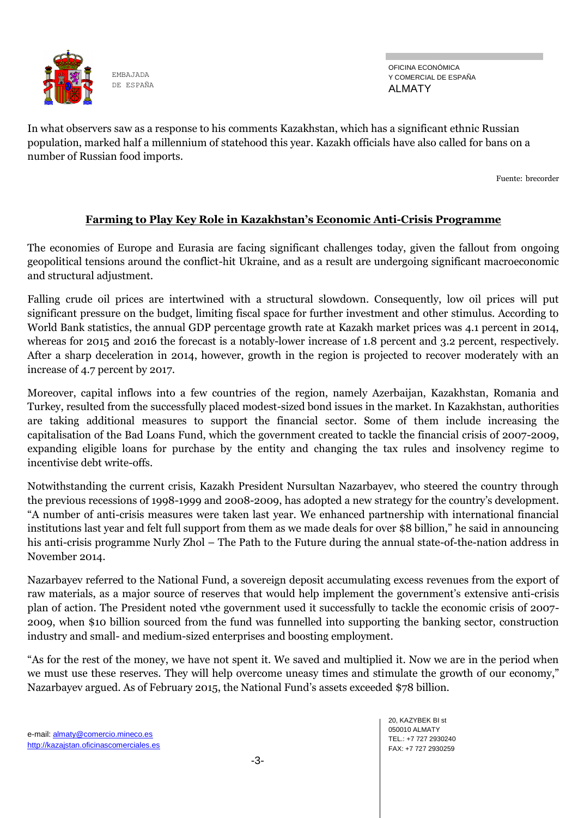

OFICINA ECONÓMICA Y COMERCIAL DE ESPAÑA ALMATY

In what observers saw as a response to his comments Kazakhstan, which has a significant ethnic Russian population, marked half a millennium of statehood this year. Kazakh officials have also called for bans on a number of Russian food imports.

Fuente: brecorder

#### **Farming to Play Key Role in Kazakhstan's Economic Anti-Crisis Programme**

The economies of Europe and Eurasia are facing significant challenges today, given the fallout from ongoing geopolitical tensions around the conflict-hit Ukraine, and as a result are undergoing significant macroeconomic and structural adjustment.

Falling crude oil prices are intertwined with a structural slowdown. Consequently, low oil prices will put significant pressure on the budget, limiting fiscal space for further investment and other stimulus. According to World Bank statistics, the annual GDP percentage growth rate at Kazakh market prices was 4.1 percent in 2014, whereas for 2015 and 2016 the forecast is a notably-lower increase of 1.8 percent and 3.2 percent, respectively. After a sharp deceleration in 2014, however, growth in the region is projected to recover moderately with an increase of 4.7 percent by 2017.

Moreover, capital inflows into a few countries of the region, namely Azerbaijan, Kazakhstan, Romania and Turkey, resulted from the successfully placed modest-sized bond issues in the market. In Kazakhstan, authorities are taking additional measures to support the financial sector. Some of them include increasing the capitalisation of the Bad Loans Fund, which the government created to tackle the financial crisis of 2007-2009, expanding eligible loans for purchase by the entity and changing the tax rules and insolvency regime to incentivise debt write-offs.

Notwithstanding the current crisis, Kazakh President Nursultan Nazarbayev, who steered the country through the previous recessions of 1998-1999 and 2008-2009, has adopted a new strategy for the country's development. "A number of anti-crisis measures were taken last year. We enhanced partnership with international financial institutions last year and felt full support from them as we made deals for over \$8 billion," he said in announcing his anti-crisis programme Nurly Zhol – The Path to the Future during the annual state-of-the-nation address in November 2014.

Nazarbayev referred to the National Fund, a sovereign deposit accumulating excess revenues from the export of raw materials, as a major source of reserves that would help implement the government's extensive anti-crisis plan of action. The President noted vthe government used it successfully to tackle the economic crisis of 2007- 2009, when \$10 billion sourced from the fund was funnelled into supporting the banking sector, construction industry and small- and medium-sized enterprises and boosting employment.

"As for the rest of the money, we have not spent it. We saved and multiplied it. Now we are in the period when we must use these reserves. They will help overcome uneasy times and stimulate the growth of our economy," Nazarbayev argued. As of February 2015, the National Fund's assets exceeded \$78 billion.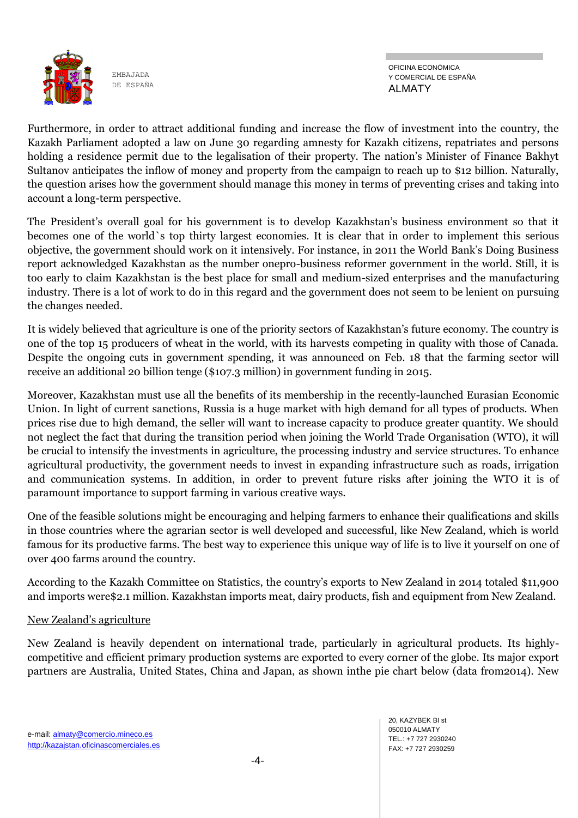

OFICINA ECONÓMICA Y COMERCIAL DE ESPAÑA ALMATY

Furthermore, in order to attract additional funding and increase the flow of investment into the country, the Kazakh Parliament adopted a law on June 30 regarding amnesty for Kazakh citizens, repatriates and persons holding a residence permit due to the legalisation of their property. The nation's Minister of Finance Bakhyt Sultanov anticipates the inflow of money and property from the campaign to reach up to \$12 billion. Naturally, the question arises how the government should manage this money in terms of preventing crises and taking into account a long-term perspective.

The President's overall goal for his government is to develop Kazakhstan's business environment so that it becomes one of the world`s top thirty largest economies. It is clear that in order to implement this serious objective, the government should work on it intensively. For instance, in 2011 the World Bank's Doing Business report acknowledged Kazakhstan as the number onepro-business reformer government in the world. Still, it is too early to claim Kazakhstan is the best place for small and medium-sized enterprises and the manufacturing industry. There is a lot of work to do in this regard and the government does not seem to be lenient on pursuing the changes needed.

It is widely believed that agriculture is one of the priority sectors of Kazakhstan's future economy. The country is one of the top 15 producers of wheat in the world, with its harvests competing in quality with those of Canada. Despite the ongoing cuts in government spending, it was announced on Feb. 18 that the farming sector will receive an additional 20 billion tenge (\$107.3 million) in government funding in 2015.

Moreover, Kazakhstan must use all the benefits of its membership in the recently-launched Eurasian Economic Union. In light of current sanctions, Russia is a huge market with high demand for all types of products. When prices rise due to high demand, the seller will want to increase capacity to produce greater quantity. We should not neglect the fact that during the transition period when joining the World Trade Organisation (WTO), it will be crucial to intensify the investments in agriculture, the processing industry and service structures. To enhance agricultural productivity, the government needs to invest in expanding infrastructure such as roads, irrigation and communication systems. In addition, in order to prevent future risks after joining the WTO it is of paramount importance to support farming in various creative ways.

One of the feasible solutions might be encouraging and helping farmers to enhance their qualifications and skills in those countries where the agrarian sector is well developed and successful, like New Zealand, which is world famous for its productive farms. The best way to experience this unique way of life is to live it yourself on one of over 400 farms around the country.

According to the Kazakh Committee on Statistics, the country's exports to New Zealand in 2014 totaled \$11,900 and imports were\$2.1 million. Kazakhstan imports meat, dairy products, fish and equipment from New Zealand.

#### New Zealand's agriculture

New Zealand is heavily dependent on international trade, particularly in agricultural products. Its highlycompetitive and efficient primary production systems are exported to every corner of the globe. Its major export partners are Australia, United States, China and Japan, as shown inthe pie chart below (data from2014). New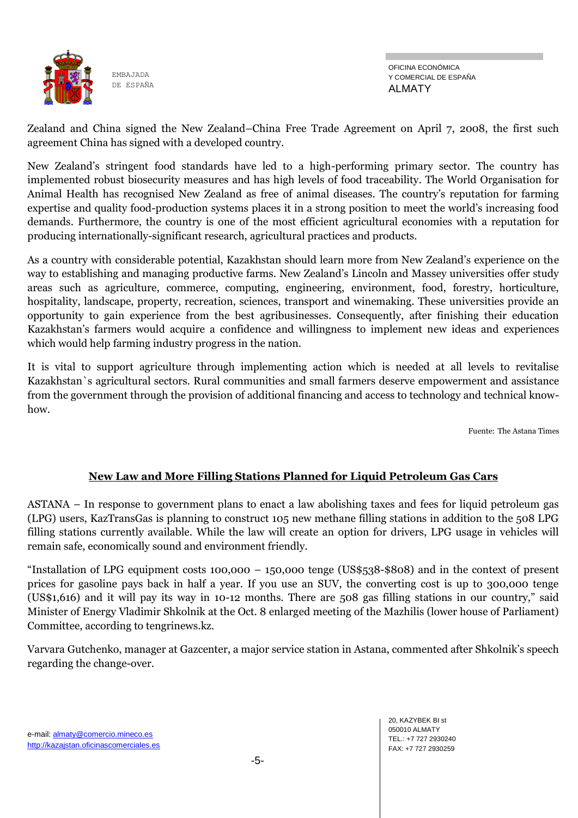

Zealand and China signed the New Zealand–China Free Trade Agreement on April 7, 2008, the first such agreement China has signed with a developed country.

New Zealand's stringent food standards have led to a high-performing primary sector. The country has implemented robust biosecurity measures and has high levels of food traceability. The World Organisation for Animal Health has recognised New Zealand as free of animal diseases. The country's reputation for farming expertise and quality food-production systems places it in a strong position to meet the world's increasing food demands. Furthermore, the country is one of the most efficient agricultural economies with a reputation for producing internationally-significant research, agricultural practices and products.

As a country with considerable potential, Kazakhstan should learn more from New Zealand's experience on the way to establishing and managing productive farms. New Zealand's Lincoln and Massey universities offer study areas such as agriculture, commerce, computing, engineering, environment, food, forestry, horticulture, hospitality, landscape, property, recreation, sciences, transport and winemaking. These universities provide an opportunity to gain experience from the best agribusinesses. Consequently, after finishing their education Kazakhstan's farmers would acquire a confidence and willingness to implement new ideas and experiences which would help farming industry progress in the nation.

It is vital to support agriculture through implementing action which is needed at all levels to revitalise Kazakhstan`s agricultural sectors. Rural communities and small farmers deserve empowerment and assistance from the government through the provision of additional financing and access to technology and technical knowhow.

Fuente: The Astana Times

# **New Law and More Filling Stations Planned for Liquid Petroleum Gas Cars**

ASTANA – In response to government plans to enact a law abolishing taxes and fees for liquid petroleum gas (LPG) users, KazTransGas is planning to construct 105 new methane filling stations in addition to the 508 LPG filling stations currently available. While the law will create an option for drivers, LPG usage in vehicles will remain safe, economically sound and environment friendly.

"Installation of LPG equipment costs 100,000 – 150,000 tenge (US\$538-\$808) and in the context of present prices for gasoline pays back in half a year. If you use an SUV, the converting cost is up to 300,000 tenge (US\$1,616) and it will pay its way in 10-12 months. There are 508 gas filling stations in our country," said Minister of Energy Vladimir Shkolnik at the Oct. 8 enlarged meeting of the Mazhilis (lower house of Parliament) Committee, according to tengrinews.kz.

Varvara Gutchenko, manager at Gazcenter, a major service station in Astana, commented after Shkolnik's speech regarding the change-over.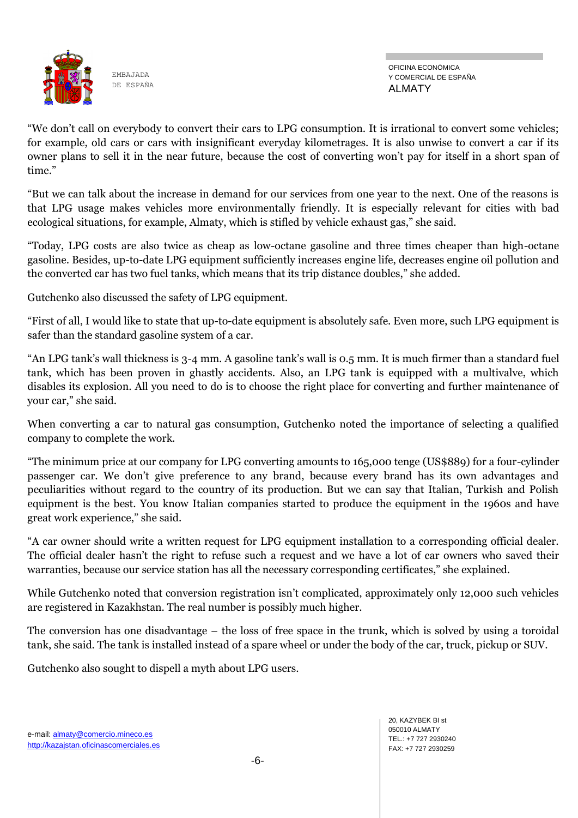

"We don't call on everybody to convert their cars to LPG consumption. It is irrational to convert some vehicles; for example, old cars or cars with insignificant everyday kilometrages. It is also unwise to convert a car if its owner plans to sell it in the near future, because the cost of converting won't pay for itself in a short span of time."

"But we can talk about the increase in demand for our services from one year to the next. One of the reasons is that LPG usage makes vehicles more environmentally friendly. It is especially relevant for cities with bad ecological situations, for example, Almaty, which is stifled by vehicle exhaust gas," she said.

"Today, LPG costs are also twice as cheap as low-octane gasoline and three times cheaper than high-octane gasoline. Besides, up-to-date LPG equipment sufficiently increases engine life, decreases engine oil pollution and the converted car has two fuel tanks, which means that its trip distance doubles," she added.

Gutchenko also discussed the safety of LPG equipment.

"First of all, I would like to state that up-to-date equipment is absolutely safe. Even more, such LPG equipment is safer than the standard gasoline system of a car.

"An LPG tank's wall thickness is 3-4 mm. A gasoline tank's wall is 0.5 mm. It is much firmer than a standard fuel tank, which has been proven in ghastly accidents. Also, an LPG tank is equipped with a multivalve, which disables its explosion. All you need to do is to choose the right place for converting and further maintenance of your car," she said.

When converting a car to natural gas consumption, Gutchenko noted the importance of selecting a qualified company to complete the work.

"The minimum price at our company for LPG converting amounts to 165,000 tenge (US\$889) for a four-cylinder passenger car. We don't give preference to any brand, because every brand has its own advantages and peculiarities without regard to the country of its production. But we can say that Italian, Turkish and Polish equipment is the best. You know Italian companies started to produce the equipment in the 1960s and have great work experience," she said.

"A car owner should write a written request for LPG equipment installation to a corresponding official dealer. The official dealer hasn't the right to refuse such a request and we have a lot of car owners who saved their warranties, because our service station has all the necessary corresponding certificates," she explained.

While Gutchenko noted that conversion registration isn't complicated, approximately only 12,000 such vehicles are registered in Kazakhstan. The real number is possibly much higher.

The conversion has one disadvantage – the loss of free space in the trunk, which is solved by using a toroidal tank, she said. The tank is installed instead of a spare wheel or under the body of the car, truck, pickup or SUV.

Gutchenko also sought to dispell a myth about LPG users.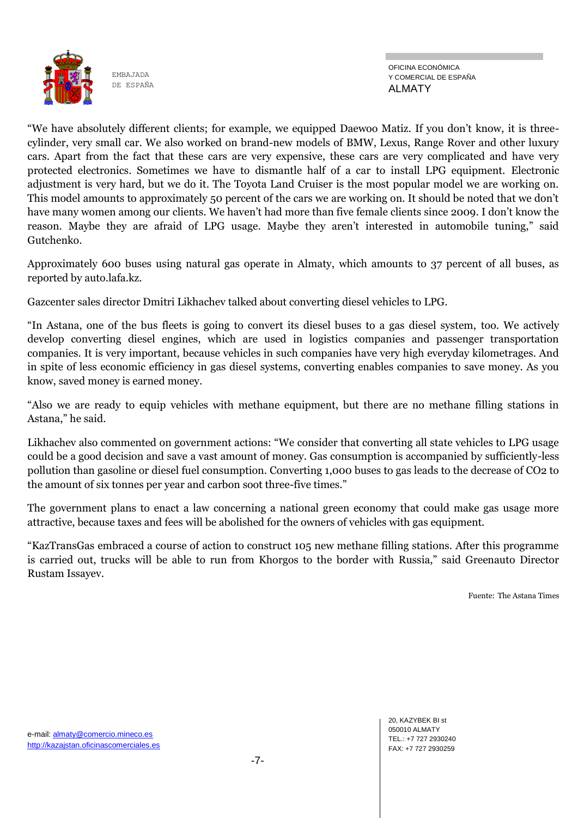

"We have absolutely different clients; for example, we equipped Daewoo Matiz. If you don't know, it is threecylinder, very small car. We also worked on brand-new models of BMW, Lexus, Range Rover and other luxury cars. Apart from the fact that these cars are very expensive, these cars are very complicated and have very protected electronics. Sometimes we have to dismantle half of a car to install LPG equipment. Electronic adjustment is very hard, but we do it. The Toyota Land Cruiser is the most popular model we are working on. This model amounts to approximately 50 percent of the cars we are working on. It should be noted that we don't have many women among our clients. We haven't had more than five female clients since 2009. I don't know the reason. Maybe they are afraid of LPG usage. Maybe they aren't interested in automobile tuning," said Gutchenko.

Approximately 600 buses using natural gas operate in Almaty, which amounts to 37 percent of all buses, as reported by auto.lafa.kz.

Gazcenter sales director Dmitri Likhachev talked about converting diesel vehicles to LPG.

"In Astana, one of the bus fleets is going to convert its diesel buses to a gas diesel system, too. We actively develop converting diesel engines, which are used in logistics companies and passenger transportation companies. It is very important, because vehicles in such companies have very high everyday kilometrages. And in spite of less economic efficiency in gas diesel systems, converting enables companies to save money. As you know, saved money is earned money.

"Also we are ready to equip vehicles with methane equipment, but there are no methane filling stations in Astana," he said.

Likhachev also commented on government actions: "We consider that converting all state vehicles to LPG usage could be a good decision and save a vast amount of money. Gas consumption is accompanied by sufficiently-less pollution than gasoline or diesel fuel consumption. Converting 1,000 buses to gas leads to the decrease of CO2 to the amount of six tonnes per year and carbon soot three-five times."

The government plans to enact a law concerning a national green economy that could make gas usage more attractive, because taxes and fees will be abolished for the owners of vehicles with gas equipment.

"KazTransGas embraced a course of action to construct 105 new methane filling stations. After this programme is carried out, trucks will be able to run from Khorgos to the border with Russia," said Greenauto Director Rustam Issayev.

Fuente: The Astana Times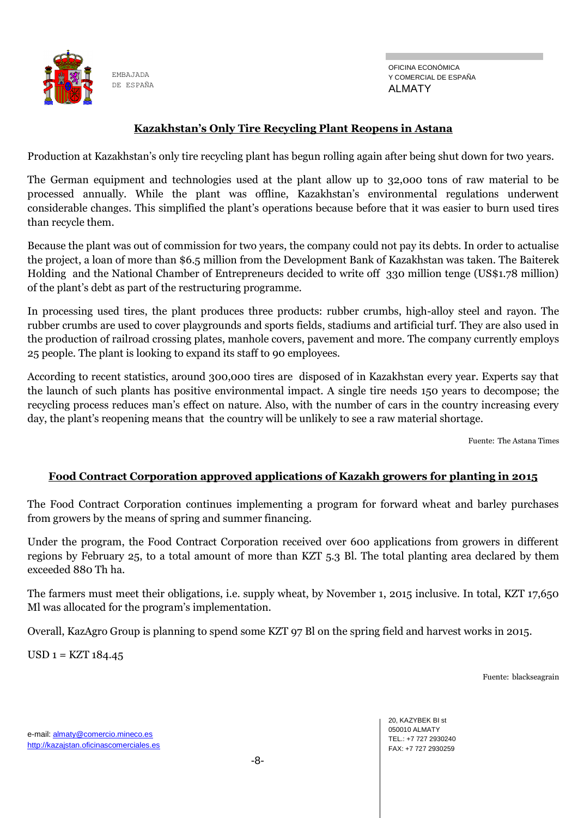

#### **Kazakhstan's Only Tire Recycling Plant Reopens in Astana**

Production at Kazakhstan's only tire recycling plant has begun rolling again after being shut down for two years.

The German equipment and technologies used at the plant allow up to 32,000 tons of raw material to be processed annually. While the plant was offline, Kazakhstan's environmental regulations underwent considerable changes. This simplified the plant's operations because before that it was easier to burn used tires than recycle them.

Because the plant was out of commission for two years, the company could not pay its debts. In order to actualise the project, a loan of more than \$6.5 million from the Development Bank of Kazakhstan was taken. The Baiterek Holding and the National Chamber of Entrepreneurs decided to write off 330 million tenge (US\$1.78 million) of the plant's debt as part of the restructuring programme.

In processing used tires, the plant produces three products: rubber crumbs, high-alloy steel and rayon. The rubber crumbs are used to cover playgrounds and sports fields, stadiums and artificial turf. They are also used in the production of railroad crossing plates, manhole covers, pavement and more. The company currently employs 25 people. The plant is looking to expand its staff to 90 employees.

According to recent statistics, around 300,000 tires are disposed of in Kazakhstan every year. Experts say that the launch of such plants has positive environmental impact. A single tire needs 150 years to decompose; the recycling process reduces man's effect on nature. Also, with the number of cars in the country increasing every day, the plant's reopening means that the country will be unlikely to see a raw material shortage.

Fuente: The Astana Times

# **Food Contract Corporation approved applications of Kazakh growers for planting in 2015**

The Food Contract Corporation continues implementing a program for forward wheat and barley purchases from growers by the means of spring and summer financing.

Under the program, the Food Contract Corporation received over 600 applications from growers in different regions by February 25, to a total amount of more than KZT 5.3 Bl. The total planting area declared by them exceeded 880 Th ha.

The farmers must meet their obligations, i.e. supply wheat, by November 1, 2015 inclusive. In total, KZT 17,650 Ml was allocated for the program's implementation.

Overall, KazAgro Group is planning to spend some KZT 97 Bl on the spring field and harvest works in 2015.

 $USD 1 = KZT 184.45$ 

Fuente: blackseagrain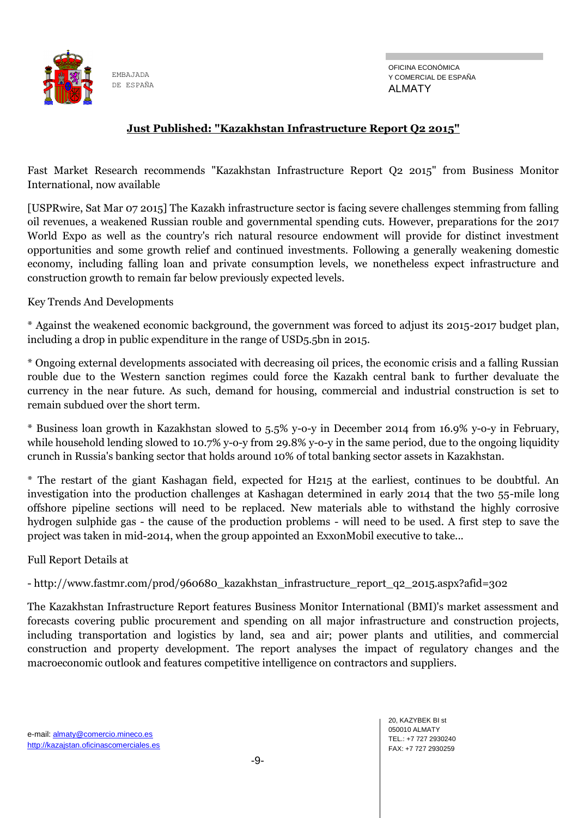

OFICINA ECONÓMICA Y COMERCIAL DE ESPAÑA ALMATY

#### **Just Published: "Kazakhstan Infrastructure Report Q2 2015"**

Fast Market Research recommends "Kazakhstan Infrastructure Report Q2 2015" from Business Monitor International, now available

[USPRwire, Sat Mar 07 2015] The Kazakh infrastructure sector is facing severe challenges stemming from falling oil revenues, a weakened Russian rouble and governmental spending cuts. However, preparations for the 2017 World Expo as well as the country's rich natural resource endowment will provide for distinct investment opportunities and some growth relief and continued investments. Following a generally weakening domestic economy, including falling loan and private consumption levels, we nonetheless expect infrastructure and construction growth to remain far below previously expected levels.

Key Trends And Developments

\* Against the weakened economic background, the government was forced to adjust its 2015-2017 budget plan, including a drop in public expenditure in the range of USD5.5bn in 2015.

\* Ongoing external developments associated with decreasing oil prices, the economic crisis and a falling Russian rouble due to the Western sanction regimes could force the Kazakh central bank to further devaluate the currency in the near future. As such, demand for housing, commercial and industrial construction is set to remain subdued over the short term.

\* Business loan growth in Kazakhstan slowed to 5.5% y-o-y in December 2014 from 16.9% y-o-y in February, while household lending slowed to 10.7% y-o-y from 29.8% y-o-y in the same period, due to the ongoing liquidity crunch in Russia's banking sector that holds around 10% of total banking sector assets in Kazakhstan.

\* The restart of the giant Kashagan field, expected for H215 at the earliest, continues to be doubtful. An investigation into the production challenges at Kashagan determined in early 2014 that the two 55-mile long offshore pipeline sections will need to be replaced. New materials able to withstand the highly corrosive hydrogen sulphide gas - the cause of the production problems - will need to be used. A first step to save the project was taken in mid-2014, when the group appointed an ExxonMobil executive to take...

Full Report Details at

- http://www.fastmr.com/prod/960680\_kazakhstan\_infrastructure\_report\_q2\_2015.aspx?afid=302

The Kazakhstan Infrastructure Report features Business Monitor International (BMI)'s market assessment and forecasts covering public procurement and spending on all major infrastructure and construction projects, including transportation and logistics by land, sea and air; power plants and utilities, and commercial construction and property development. The report analyses the impact of regulatory changes and the macroeconomic outlook and features competitive intelligence on contractors and suppliers.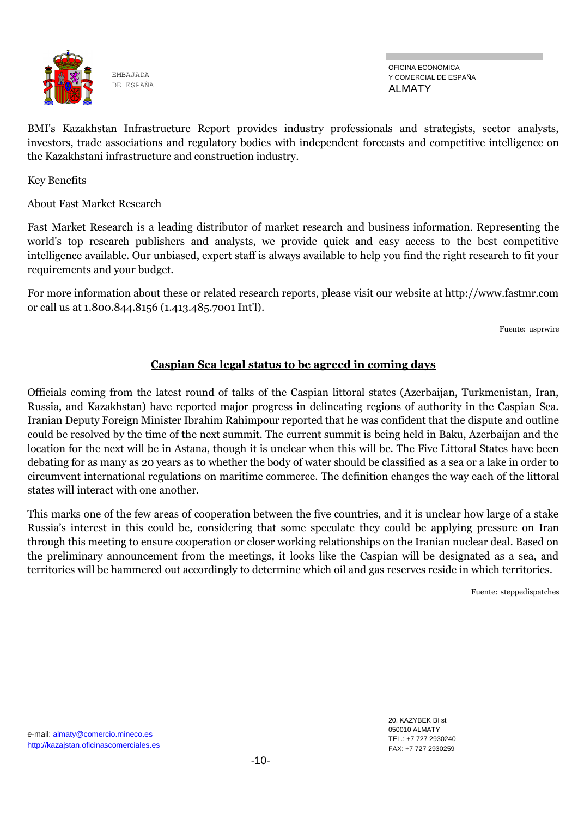

OFICINA ECONÓMICA Y COMERCIAL DE ESPAÑA ALMATY

BMI's Kazakhstan Infrastructure Report provides industry professionals and strategists, sector analysts, investors, trade associations and regulatory bodies with independent forecasts and competitive intelligence on the Kazakhstani infrastructure and construction industry.

Key Benefits

About Fast Market Research

Fast Market Research is a leading distributor of market research and business information. Representing the world's top research publishers and analysts, we provide quick and easy access to the best competitive intelligence available. Our unbiased, expert staff is always available to help you find the right research to fit your requirements and your budget.

For more information about these or related research reports, please visit our website at http://www.fastmr.com or call us at 1.800.844.8156 (1.413.485.7001 Int'l).

Fuente: usprwire

#### **Caspian Sea legal status to be agreed in coming days**

Officials coming from the latest round of talks of the Caspian littoral states (Azerbaijan, Turkmenistan, Iran, Russia, and Kazakhstan) have reported major progress in delineating regions of authority in the Caspian Sea. Iranian Deputy Foreign Minister Ibrahim Rahimpour reported that he was confident that the dispute and outline could be resolved by the time of the next summit. The current summit is being held in Baku, Azerbaijan and the location for the next will be in Astana, though it is unclear when this will be. The Five Littoral States have been debating for as many as 20 years as to whether the body of water should be classified as a sea or a lake in order to circumvent international regulations on maritime commerce. The definition changes the way each of the littoral states will interact with one another.

This marks one of the few areas of cooperation between the five countries, and it is unclear how large of a stake Russia's interest in this could be, considering that some speculate they could be applying pressure on Iran through this meeting to ensure cooperation or closer working relationships on the Iranian nuclear deal. Based on the preliminary announcement from the meetings, it looks like the Caspian will be designated as a sea, and territories will be hammered out accordingly to determine which oil and gas reserves reside in which territories.

Fuente: steppedispatches

20, KAZYBEK BI st 050010 ALMATY TEL.: +7 727 2930240 FAX: +7 727 2930259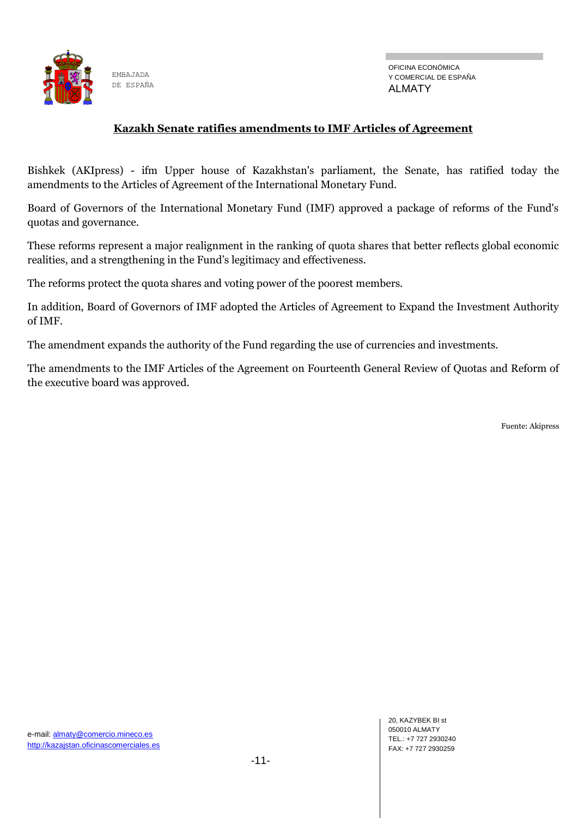

#### **Kazakh Senate ratifies amendments to IMF Articles of Agreement**

Bishkek (AKIpress) - ifm Upper house of Kazakhstan's parliament, the Senate, has ratified today the amendments to the Articles of Agreement of the International Monetary Fund.

Board of Governors of the International Monetary Fund (IMF) approved a package of reforms of the Fund's quotas and governance.

These reforms represent a major realignment in the ranking of quota shares that better reflects global economic realities, and a strengthening in the Fund's legitimacy and effectiveness.

The reforms protect the quota shares and voting power of the poorest members.

In addition, Board of Governors of IMF adopted the Articles of Agreement to Expand the Investment Authority of IMF.

The amendment expands the authority of the Fund regarding the use of currencies and investments.

The amendments to the IMF Articles of the Agreement on Fourteenth General Review of Quotas and Reform of the executive board was approved.

Fuente: Akipress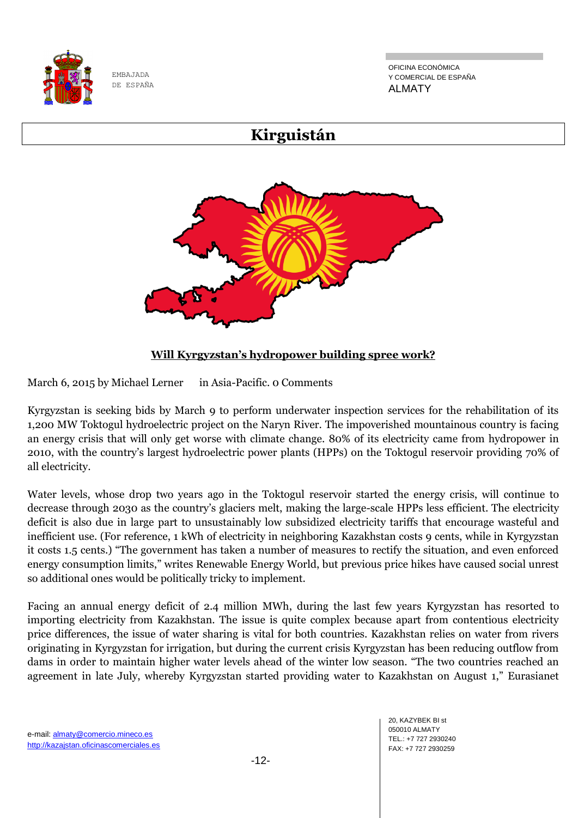

OFICINA ECONÓMICA Y COMERCIAL DE ESPAÑA ALMATY

# **Kirguistán**



# **Will Kyrgyzstan's hydropower building spree work?**

March 6, 2015 by Michael Lerner in Asia-Pacific. 0 Comments

Kyrgyzstan is seeking bids by March 9 to perform underwater inspection services for the rehabilitation of its 1,200 MW Toktogul hydroelectric project on the Naryn River. The impoverished mountainous country is facing an energy crisis that will only get worse with climate change. 80% of its electricity came from hydropower in 2010, with the country's largest hydroelectric power plants (HPPs) on the Toktogul reservoir providing 70% of all electricity.

Water levels, whose drop two years ago in the Toktogul reservoir started the energy crisis, will continue to decrease through 2030 as the country's glaciers melt, making the large-scale HPPs less efficient. The electricity deficit is also due in large part to unsustainably low subsidized electricity tariffs that encourage wasteful and inefficient use. (For reference, 1 kWh of electricity in neighboring Kazakhstan costs 9 cents, while in Kyrgyzstan it costs 1.5 cents.) "The government has taken a number of measures to rectify the situation, and even enforced energy consumption limits," writes Renewable Energy World, but previous price hikes have caused social unrest so additional ones would be politically tricky to implement.

Facing an annual energy deficit of 2.4 million MWh, during the last few years Kyrgyzstan has resorted to importing electricity from Kazakhstan. The issue is quite complex because apart from contentious electricity price differences, the issue of water sharing is vital for both countries. Kazakhstan relies on water from rivers originating in Kyrgyzstan for irrigation, but during the current crisis Kyrgyzstan has been reducing outflow from dams in order to maintain higher water levels ahead of the winter low season. "The two countries reached an agreement in late July, whereby Kyrgyzstan started providing water to Kazakhstan on August 1," Eurasianet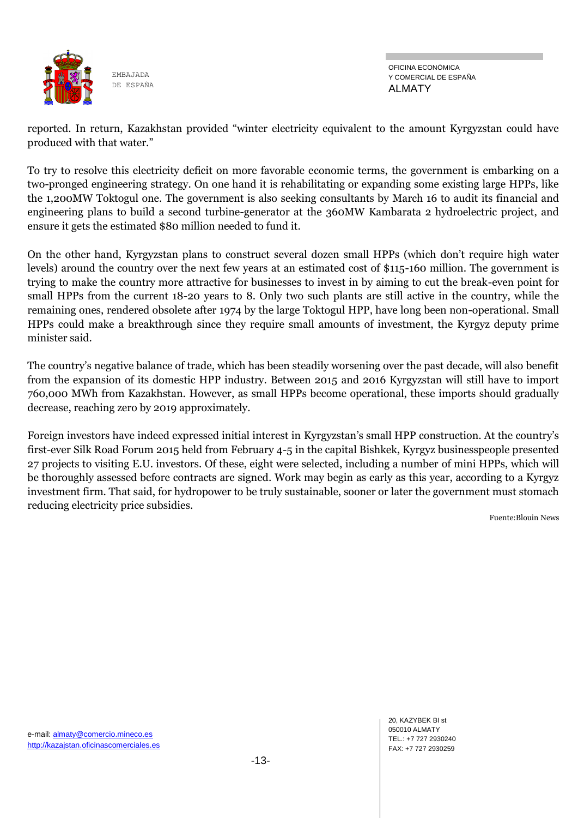

OFICINA ECONÓMICA Y COMERCIAL DE ESPAÑA ALMATY

reported. In return, Kazakhstan provided "winter electricity equivalent to the amount Kyrgyzstan could have produced with that water."

To try to resolve this electricity deficit on more favorable economic terms, the government is embarking on a two-pronged engineering strategy. On one hand it is rehabilitating or expanding some existing large HPPs, like the 1,200MW Toktogul one. The government is also seeking consultants by March 16 to audit its financial and engineering plans to build a second turbine-generator at the 360MW Kambarata 2 hydroelectric project, and ensure it gets the estimated \$80 million needed to fund it.

On the other hand, Kyrgyzstan plans to construct several dozen small HPPs (which don't require high water levels) around the country over the next few years at an estimated cost of \$115-160 million. The government is trying to make the country more attractive for businesses to invest in by aiming to cut the break-even point for small HPPs from the current 18-20 years to 8. Only two such plants are still active in the country, while the remaining ones, rendered obsolete after 1974 by the large Toktogul HPP, have long been non-operational. Small HPPs could make a breakthrough since they require small amounts of investment, the Kyrgyz deputy prime minister said.

The country's negative balance of trade, which has been steadily worsening over the past decade, will also benefit from the expansion of its domestic HPP industry. Between 2015 and 2016 Kyrgyzstan will still have to import 760,000 MWh from Kazakhstan. However, as small HPPs become operational, these imports should gradually decrease, reaching zero by 2019 approximately.

Foreign investors have indeed expressed initial interest in Kyrgyzstan's small HPP construction. At the country's first-ever Silk Road Forum 2015 held from February 4-5 in the capital Bishkek, Kyrgyz businesspeople presented 27 projects to visiting E.U. investors. Of these, eight were selected, including a number of mini HPPs, which will be thoroughly assessed before contracts are signed. Work may begin as early as this year, according to a Kyrgyz investment firm. That said, for hydropower to be truly sustainable, sooner or later the government must stomach reducing electricity price subsidies.

Fuente:Blouin News

e-mail: almaty@comercio.mineco.es http://kazajstan.oficinascomerciales.es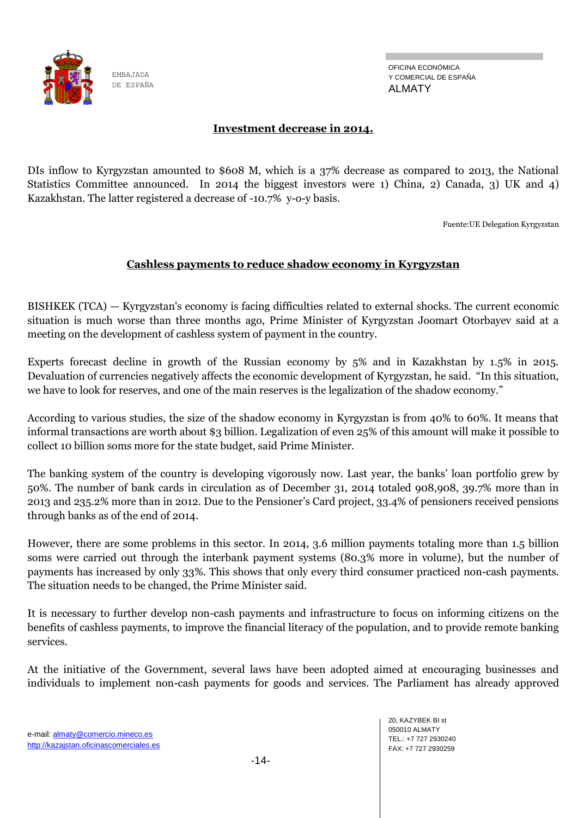

#### **Investment decrease in 2014.**

DIs inflow to Kyrgyzstan amounted to \$608 M, which is a 37% decrease as compared to 2013, the National Statistics Committee announced. In 2014 the biggest investors were 1) China, 2) Canada, 3) UK and 4) Kazakhstan. The latter registered a decrease of -10.7% y-o-y basis.

Fuente:UE Delegation Kyrgyzstan

#### **Cashless payments to reduce shadow economy in Kyrgyzstan**

BISHKEK (TCA) — Kyrgyzstan's economy is facing difficulties related to external shocks. The current economic situation is much worse than three months ago, Prime Minister of Kyrgyzstan Joomart Otorbayev said at a meeting on the development of cashless system of payment in the country.

Experts forecast decline in growth of the Russian economy by 5% and in Kazakhstan by 1.5% in 2015. Devaluation of currencies negatively affects the economic development of Kyrgyzstan, he said. "In this situation, we have to look for reserves, and one of the main reserves is the legalization of the shadow economy."

According to various studies, the size of the shadow economy in Kyrgyzstan is from 40% to 60%. It means that informal transactions are worth about \$3 billion. Legalization of even 25% of this amount will make it possible to collect 10 billion soms more for the state budget, said Prime Minister.

The banking system of the country is developing vigorously now. Last year, the banks' loan portfolio grew by 50%. The number of bank cards in circulation as of December 31, 2014 totaled 908,908, 39.7% more than in 2013 and 235.2% more than in 2012. Due to the Pensioner's Card project, 33.4% of pensioners received pensions through banks as of the end of 2014.

However, there are some problems in this sector. In 2014, 3.6 million payments totaling more than 1.5 billion soms were carried out through the interbank payment systems (80.3% more in volume), but the number of payments has increased by only 33%. This shows that only every third consumer practiced non-cash payments. The situation needs to be changed, the Prime Minister said.

It is necessary to further develop non-cash payments and infrastructure to focus on informing citizens on the benefits of cashless payments, to improve the financial literacy of the population, and to provide remote banking services.

At the initiative of the Government, several laws have been adopted aimed at encouraging businesses and individuals to implement non-cash payments for goods and services. The Parliament has already approved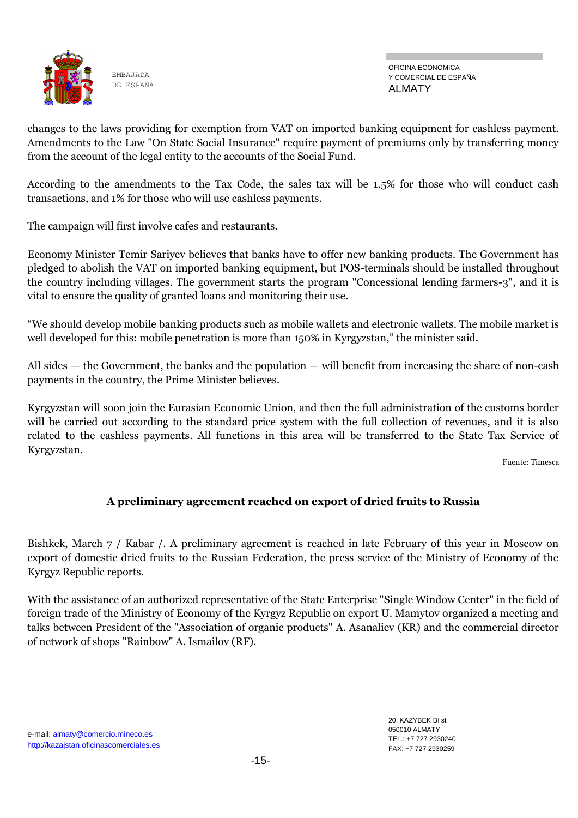

OFICINA ECONÓMICA Y COMERCIAL DE ESPAÑA ALMATY

changes to the laws providing for exemption from VAT on imported banking equipment for cashless payment. Amendments to the Law "On State Social Insurance" require payment of premiums only by transferring money from the account of the legal entity to the accounts of the Social Fund.

According to the amendments to the Tax Code, the sales tax will be 1.5% for those who will conduct cash transactions, and 1% for those who will use cashless payments.

The campaign will first involve cafes and restaurants.

Economy Minister Temir Sariyev believes that banks have to offer new banking products. The Government has pledged to abolish the VAT on imported banking equipment, but POS-terminals should be installed throughout the country including villages. The government starts the program "Concessional lending farmers-3", and it is vital to ensure the quality of granted loans and monitoring their use.

"We should develop mobile banking products such as mobile wallets and electronic wallets. The mobile market is well developed for this: mobile penetration is more than 150% in Kyrgyzstan," the minister said.

All sides — the Government, the banks and the population — will benefit from increasing the share of non-cash payments in the country, the Prime Minister believes.

Kyrgyzstan will soon join the Eurasian Economic Union, and then the full administration of the customs border will be carried out according to the standard price system with the full collection of revenues, and it is also related to the cashless payments. All functions in this area will be transferred to the State Tax Service of Kyrgyzstan.

Fuente: Timesca

# **A preliminary agreement reached on export of dried fruits to Russia**

Bishkek, March 7 / Kabar /. A preliminary agreement is reached in late February of this year in Moscow on export of domestic dried fruits to the Russian Federation, the press service of the Ministry of Economy of the Kyrgyz Republic reports.

With the assistance of an authorized representative of the State Enterprise "Single Window Center" in the field of foreign trade of the Ministry of Economy of the Kyrgyz Republic on export U. Mamytov organized a meeting and talks between President of the "Association of organic products" A. Asanaliev (KR) and the commercial director of network of shops "Rainbow" A. Ismailov (RF).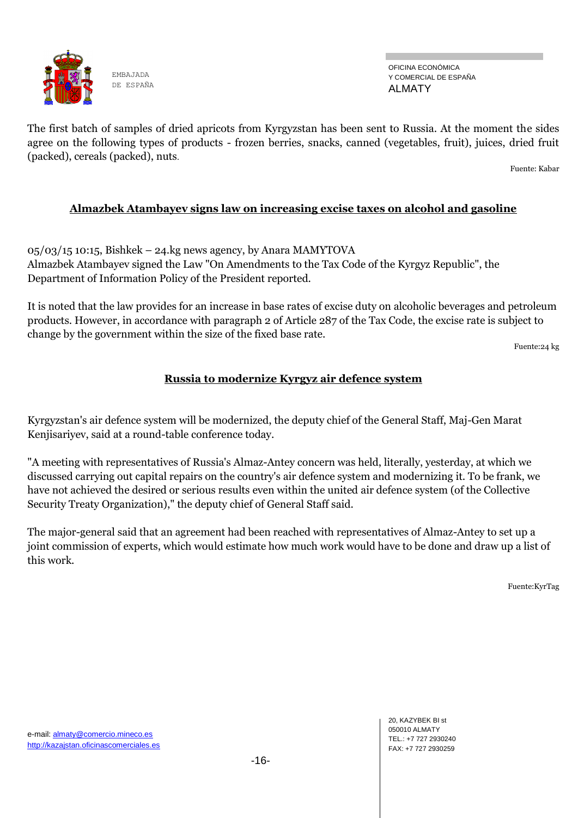

OFICINA ECONÓMICA Y COMERCIAL DE ESPAÑA ALMATY

The first batch of samples of dried apricots from Kyrgyzstan has been sent to Russia. At the moment the sides agree on the following types of products - frozen berries, snacks, canned (vegetables, fruit), juices, dried fruit (packed), cereals (packed), nuts.

Fuente: Kabar

# **Almazbek Atambayev signs law on increasing excise taxes on alcohol and gasoline**

05/03/15 10:15, Bishkek – 24.kg news agency, by Anara MAMYTOVA Almazbek Atambayev signed the Law "On Amendments to the Tax Code of the Kyrgyz Republic", the Department of Information Policy of the President reported.

It is noted that the law provides for an increase in base rates of excise duty on alcoholic beverages and petroleum products. However, in accordance with paragraph 2 of Article 287 of the Tax Code, the excise rate is subject to change by the government within the size of the fixed base rate.

Fuente:24 kg

# **Russia to modernize Kyrgyz air defence system**

Kyrgyzstan's air defence system will be modernized, the deputy chief of the General Staff, Maj-Gen Marat Kenjisariyev, said at a round-table conference today.

"A meeting with representatives of Russia's Almaz-Antey concern was held, literally, yesterday, at which we discussed carrying out capital repairs on the country's air defence system and modernizing it. To be frank, we have not achieved the desired or serious results even within the united air defence system (of the Collective Security Treaty Organization)," the deputy chief of General Staff said.

The major-general said that an agreement had been reached with representatives of Almaz-Antey to set up a joint commission of experts, which would estimate how much work would have to be done and draw up a list of this work.

Fuente:KyrTag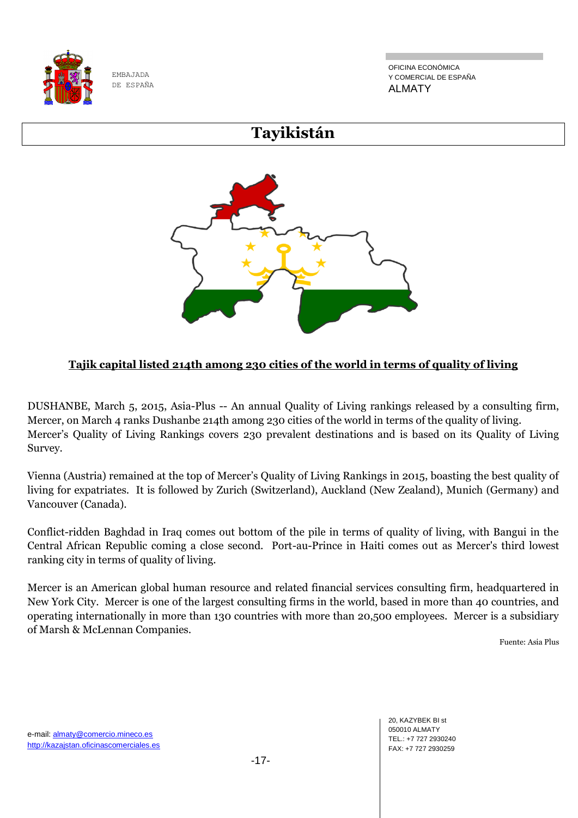

OFICINA ECONÓMICA Y COMERCIAL DE ESPAÑA ALMATY

# **Tayikistán**



# **Tajik capital listed 214th among 230 cities of the world in terms of quality of living**

DUSHANBE, March 5, 2015, Asia-Plus -- An annual Quality of Living rankings released by a consulting firm, Mercer, on March 4 ranks Dushanbe 214th among 230 cities of the world in terms of the quality of living. Mercer's Quality of Living Rankings covers 230 prevalent destinations and is based on its Quality of Living Survey.

Vienna (Austria) remained at the top of Mercer's Quality of Living Rankings in 2015, boasting the best quality of living for expatriates. It is followed by Zurich (Switzerland), Auckland (New Zealand), Munich (Germany) and Vancouver (Canada).

Conflict-ridden Baghdad in Iraq comes out bottom of the pile in terms of quality of living, with Bangui in the Central African Republic coming a close second. Port-au-Prince in Haiti comes out as Mercer's third lowest ranking city in terms of quality of living.

Mercer is an American global human resource and related financial services consulting firm, headquartered in New York City. Mercer is one of the largest consulting firms in the world, based in more than 40 countries, and operating internationally in more than 130 countries with more than 20,500 employees. Mercer is a subsidiary of Marsh & McLennan Companies.

Fuente: Asia Plus

20, KAZYBEK BI st 050010 ALMATY TEL.: +7 727 2930240 FAX: +7 727 2930259